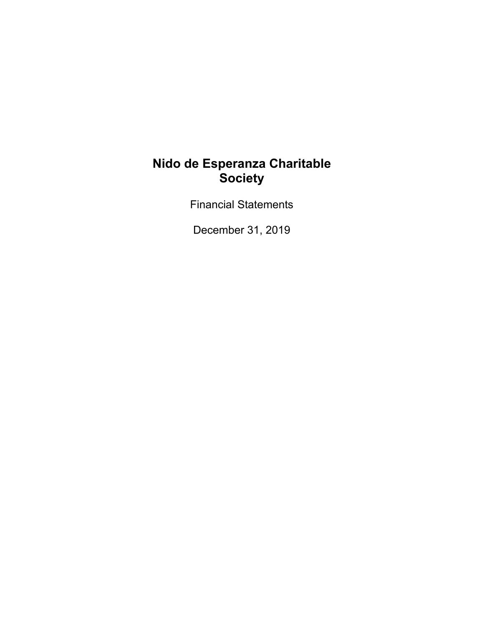Financial Statements

December 31, 2019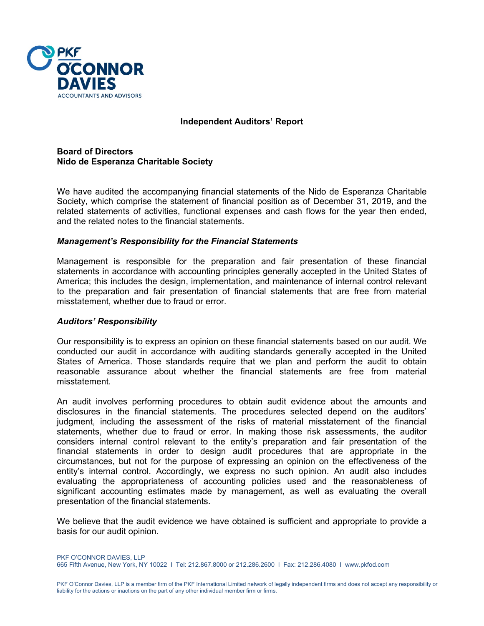

#### **Independent Auditors' Report**

**Board of Directors Nido de Esperanza Charitable Society** 

We have audited the accompanying financial statements of the Nido de Esperanza Charitable Society, which comprise the statement of financial position as of December 31, 2019, and the related statements of activities, functional expenses and cash flows for the year then ended, and the related notes to the financial statements.

#### *Management's Responsibility for the Financial Statements*

Management is responsible for the preparation and fair presentation of these financial statements in accordance with accounting principles generally accepted in the United States of America; this includes the design, implementation, and maintenance of internal control relevant to the preparation and fair presentation of financial statements that are free from material misstatement, whether due to fraud or error.

#### *Auditors' Responsibility*

Our responsibility is to express an opinion on these financial statements based on our audit. We conducted our audit in accordance with auditing standards generally accepted in the United States of America. Those standards require that we plan and perform the audit to obtain reasonable assurance about whether the financial statements are free from material misstatement.

An audit involves performing procedures to obtain audit evidence about the amounts and disclosures in the financial statements. The procedures selected depend on the auditors' judgment, including the assessment of the risks of material misstatement of the financial statements, whether due to fraud or error. In making those risk assessments, the auditor considers internal control relevant to the entity's preparation and fair presentation of the financial statements in order to design audit procedures that are appropriate in the circumstances, but not for the purpose of expressing an opinion on the effectiveness of the entity's internal control. Accordingly, we express no such opinion. An audit also includes evaluating the appropriateness of accounting policies used and the reasonableness of significant accounting estimates made by management, as well as evaluating the overall presentation of the financial statements.

We believe that the audit evidence we have obtained is sufficient and appropriate to provide a basis for our audit opinion.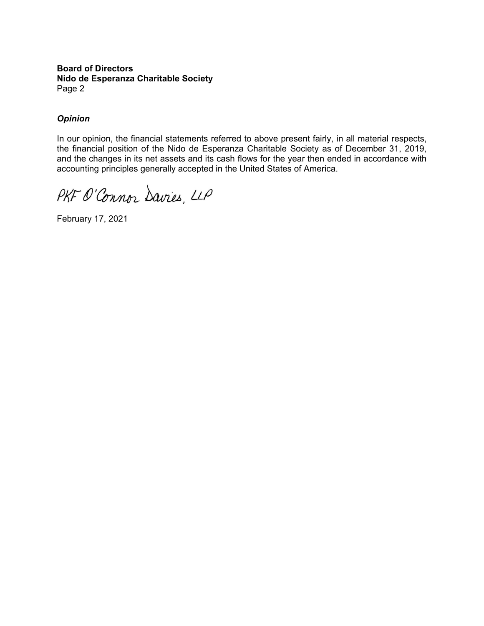#### **Board of Directors Nido de Esperanza Charitable Society** Page 2

## *Opinion*

In our opinion, the financial statements referred to above present fairly, in all material respects, the financial position of the Nido de Esperanza Charitable Society as of December 31, 2019, and the changes in its net assets and its cash flows for the year then ended in accordance with accounting principles generally accepted in the United States of America.

PKF O'Connor Davies, LLP

February 17, 2021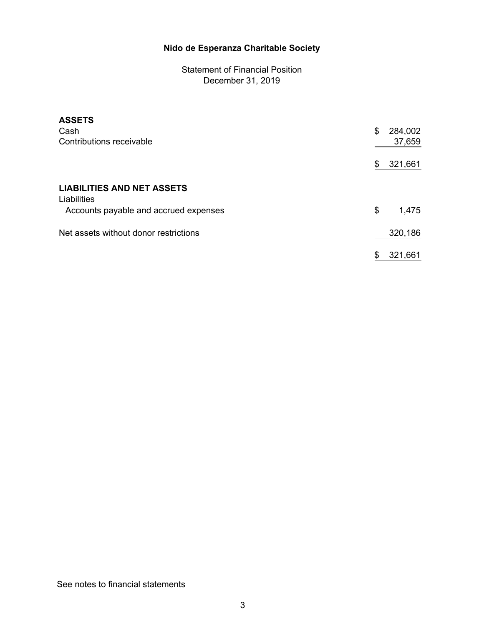Statement of Financial Position December 31, 2019

| <b>ASSETS</b><br>Cash                            | 284,002<br>\$ |
|--------------------------------------------------|---------------|
| Contributions receivable                         | 37,659        |
|                                                  | 321,661<br>\$ |
| <b>LIABILITIES AND NET ASSETS</b><br>Liabilities |               |
| Accounts payable and accrued expenses            | \$<br>1,475   |
| Net assets without donor restrictions            | 320,186       |
|                                                  | 321,661<br>\$ |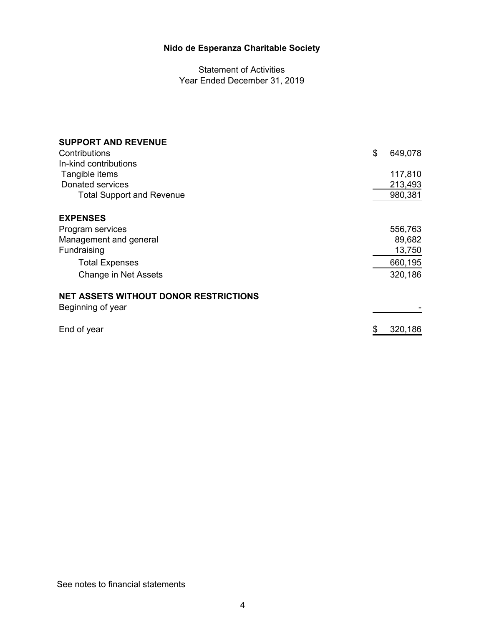Statement of Activities Year Ended December 31, 2019

| <b>SUPPORT AND REVENUE</b>                   |               |
|----------------------------------------------|---------------|
| Contributions                                | \$<br>649,078 |
| In-kind contributions                        |               |
| Tangible items                               | 117,810       |
| <b>Donated services</b>                      | 213,493       |
| <b>Total Support and Revenue</b>             | 980,381       |
| <b>EXPENSES</b>                              |               |
| Program services                             | 556,763       |
| Management and general                       | 89,682        |
| Fundraising                                  | 13,750        |
| <b>Total Expenses</b>                        | 660,195       |
| Change in Net Assets                         | 320,186       |
| <b>NET ASSETS WITHOUT DONOR RESTRICTIONS</b> |               |
| Beginning of year                            |               |
| End of year                                  | 320,186       |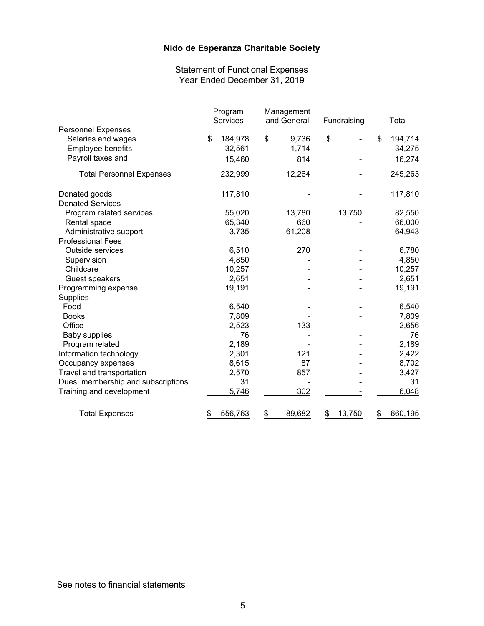Statement of Functional Expenses Year Ended December 31, 2019

|                                    | Program       | Management   |              |               |
|------------------------------------|---------------|--------------|--------------|---------------|
|                                    | Services      | and General  | Fundraising  | Total         |
| <b>Personnel Expenses</b>          |               |              |              |               |
| Salaries and wages                 | \$<br>184,978 | \$<br>9,736  | \$           | \$<br>194,714 |
| Employee benefits                  | 32,561        | 1,714        |              | 34,275        |
| Payroll taxes and                  | 15,460        | 814          |              | 16,274        |
| <b>Total Personnel Expenses</b>    | 232,999       | 12,264       |              | 245,263       |
| Donated goods                      | 117,810       |              |              | 117,810       |
| <b>Donated Services</b>            |               |              |              |               |
| Program related services           | 55,020        | 13,780       | 13,750       | 82,550        |
| Rental space                       | 65,340        | 660          |              | 66,000        |
| Administrative support             | 3,735         | 61,208       |              | 64,943        |
| <b>Professional Fees</b>           |               |              |              |               |
| <b>Outside services</b>            | 6,510         | 270          |              | 6,780         |
| Supervision                        | 4,850         |              |              | 4,850         |
| Childcare                          | 10,257        |              |              | 10,257        |
| Guest speakers                     | 2,651         |              |              | 2,651         |
| Programming expense                | 19,191        |              |              | 19,191        |
| Supplies                           |               |              |              |               |
| Food                               | 6,540         |              |              | 6,540         |
| <b>Books</b>                       | 7,809         |              |              | 7,809         |
| Office                             | 2,523         | 133          |              | 2,656         |
| <b>Baby supplies</b>               | 76            |              |              | 76            |
| Program related                    | 2,189         |              |              | 2,189         |
| Information technology             | 2,301         | 121          |              | 2,422         |
| Occupancy expenses                 | 8,615         | 87           |              | 8,702         |
| Travel and transportation          | 2,570         | 857          |              | 3,427         |
| Dues, membership and subscriptions | 31            |              |              | 31            |
| Training and development           | 5,746         | 302          |              | 6,048         |
| <b>Total Expenses</b>              | \$<br>556,763 | \$<br>89,682 | \$<br>13,750 | \$<br>660,195 |

See notes to financial statements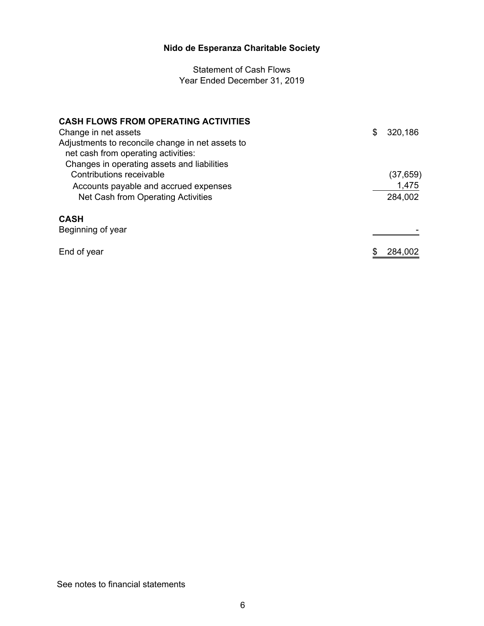Statement of Cash Flows Year Ended December 31, 2019

| <b>CASH FLOWS FROM OPERATING ACTIVITIES</b>                                                                                            |               |
|----------------------------------------------------------------------------------------------------------------------------------------|---------------|
| Change in net assets                                                                                                                   | \$<br>320,186 |
| Adjustments to reconcile change in net assets to<br>net cash from operating activities:<br>Changes in operating assets and liabilities |               |
| Contributions receivable                                                                                                               | (37, 659)     |
| Accounts payable and accrued expenses                                                                                                  | 1,475         |
| Net Cash from Operating Activities                                                                                                     | 284,002       |
| <b>CASH</b>                                                                                                                            |               |
| Beginning of year                                                                                                                      |               |
| End of year                                                                                                                            | 284.002       |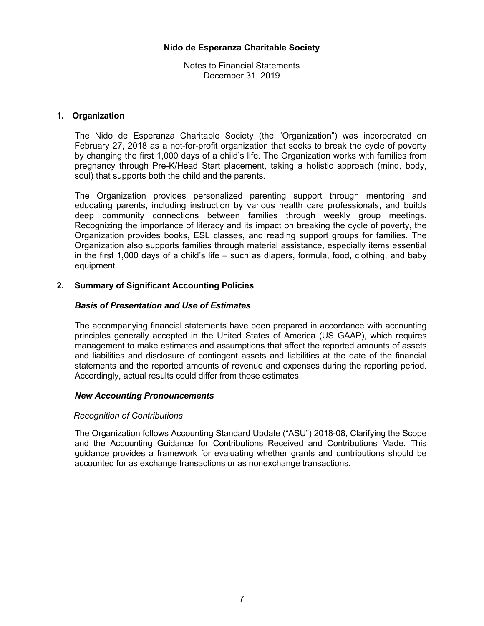Notes to Financial Statements December 31, 2019

### **1. Organization**

The Nido de Esperanza Charitable Society (the "Organization") was incorporated on February 27, 2018 as a not-for-profit organization that seeks to break the cycle of poverty by changing the first 1,000 days of a child's life. The Organization works with families from pregnancy through Pre-K/Head Start placement, taking a holistic approach (mind, body, soul) that supports both the child and the parents.

The Organization provides personalized parenting support through mentoring and educating parents, including instruction by various health care professionals, and builds deep community connections between families through weekly group meetings. Recognizing the importance of literacy and its impact on breaking the cycle of poverty, the Organization provides books, ESL classes, and reading support groups for families. The Organization also supports families through material assistance, especially items essential in the first 1,000 days of a child's life – such as diapers, formula, food, clothing, and baby equipment.

### **2. Summary of Significant Accounting Policies**

### *Basis of Presentation and Use of Estimates*

The accompanying financial statements have been prepared in accordance with accounting principles generally accepted in the United States of America (US GAAP), which requires management to make estimates and assumptions that affect the reported amounts of assets and liabilities and disclosure of contingent assets and liabilities at the date of the financial statements and the reported amounts of revenue and expenses during the reporting period. Accordingly, actual results could differ from those estimates.

#### *New Accounting Pronouncements*

#### *Recognition of Contributions*

The Organization follows Accounting Standard Update ("ASU") 2018-08, Clarifying the Scope and the Accounting Guidance for Contributions Received and Contributions Made. This guidance provides a framework for evaluating whether grants and contributions should be accounted for as exchange transactions or as nonexchange transactions.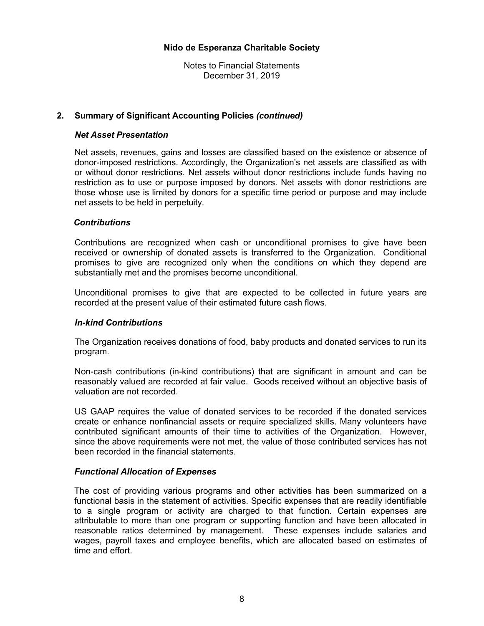Notes to Financial Statements December 31, 2019

#### **2. Summary of Significant Accounting Policies** *(continued)*

#### *Net Asset Presentation*

Net assets, revenues, gains and losses are classified based on the existence or absence of donor-imposed restrictions. Accordingly, the Organization's net assets are classified as with or without donor restrictions. Net assets without donor restrictions include funds having no restriction as to use or purpose imposed by donors. Net assets with donor restrictions are those whose use is limited by donors for a specific time period or purpose and may include net assets to be held in perpetuity.

#### *Contributions*

Contributions are recognized when cash or unconditional promises to give have been received or ownership of donated assets is transferred to the Organization. Conditional promises to give are recognized only when the conditions on which they depend are substantially met and the promises become unconditional.

Unconditional promises to give that are expected to be collected in future years are recorded at the present value of their estimated future cash flows.

#### *In-kind Contributions*

The Organization receives donations of food, baby products and donated services to run its program.

Non-cash contributions (in-kind contributions) that are significant in amount and can be reasonably valued are recorded at fair value. Goods received without an objective basis of valuation are not recorded.

US GAAP requires the value of donated services to be recorded if the donated services create or enhance nonfinancial assets or require specialized skills. Many volunteers have contributed significant amounts of their time to activities of the Organization. However, since the above requirements were not met, the value of those contributed services has not been recorded in the financial statements.

#### *Functional Allocation of Expenses*

The cost of providing various programs and other activities has been summarized on a functional basis in the statement of activities. Specific expenses that are readily identifiable to a single program or activity are charged to that function. Certain expenses are attributable to more than one program or supporting function and have been allocated in reasonable ratios determined by management. These expenses include salaries and wages, payroll taxes and employee benefits, which are allocated based on estimates of time and effort.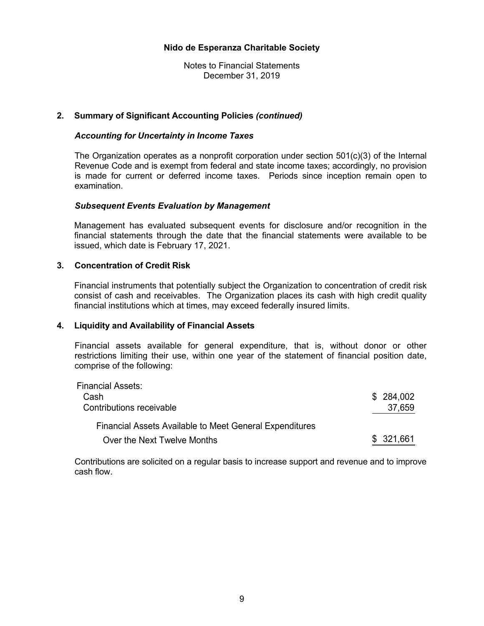Notes to Financial Statements December 31, 2019

#### **2. Summary of Significant Accounting Policies** *(continued)*

#### *Accounting for Uncertainty in Income Taxes*

The Organization operates as a nonprofit corporation under section 501(c)(3) of the Internal Revenue Code and is exempt from federal and state income taxes; accordingly, no provision is made for current or deferred income taxes. Periods since inception remain open to examination.

#### *Subsequent Events Evaluation by Management*

Management has evaluated subsequent events for disclosure and/or recognition in the financial statements through the date that the financial statements were available to be issued, which date is February 17, 2021.

#### **3. Concentration of Credit Risk**

Financial instruments that potentially subject the Organization to concentration of credit risk consist of cash and receivables. The Organization places its cash with high credit quality financial institutions which at times, may exceed federally insured limits.

#### **4. Liquidity and Availability of Financial Assets**

Financial assets available for general expenditure, that is, without donor or other restrictions limiting their use, within one year of the statement of financial position date, comprise of the following:

| Financial Assets:                                              |            |
|----------------------------------------------------------------|------------|
| Cash                                                           | \$284,002  |
| Contributions receivable                                       | 37,659     |
| <b>Financial Assets Available to Meet General Expenditures</b> |            |
| Over the Next Twelve Months                                    | \$ 321,661 |

Contributions are solicited on a regular basis to increase support and revenue and to improve cash flow.